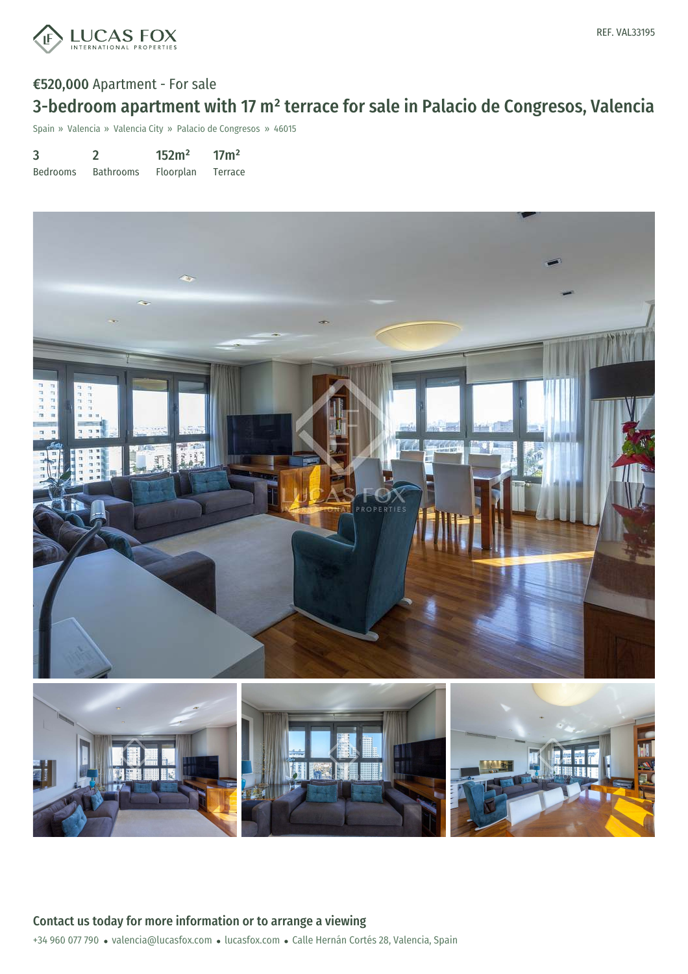

## €520,000 Apartment - For sale

# 3-bedroom apartment with 17 m² terrace for sale in Palacio de Congresos, Valencia

Spain » Valencia » Valencia City » Palacio de Congresos » 46015

| 3               |                  | 152m <sup>2</sup> | 17 <sup>m²</sup> |
|-----------------|------------------|-------------------|------------------|
| <b>Bedrooms</b> | <b>Bathrooms</b> | Floorplan         | Terrace          |

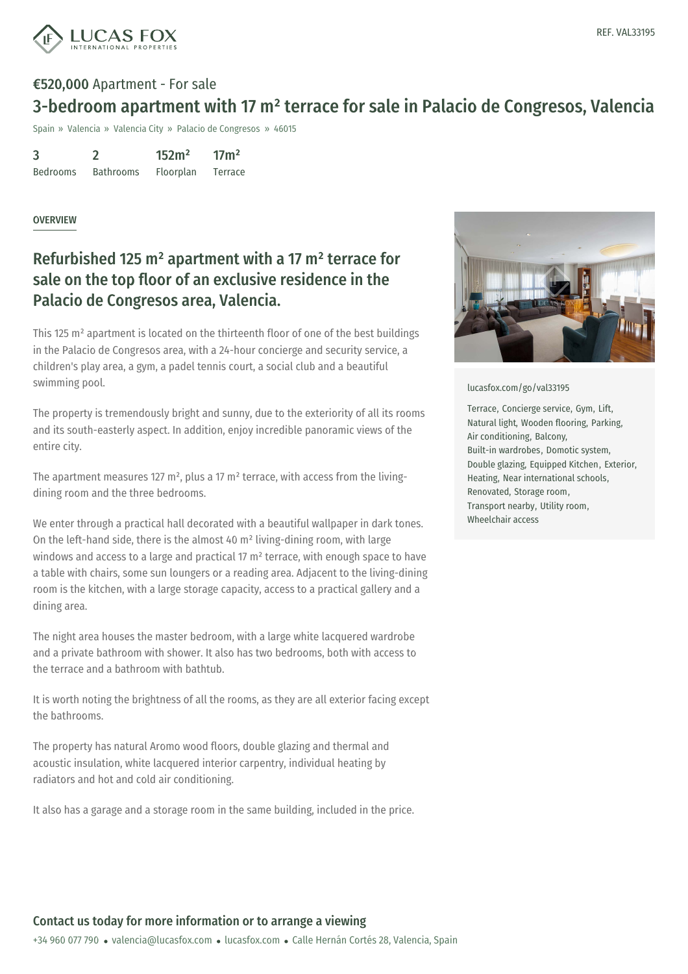

### €520,000 Apartment - For sale

## 3-bedroom apartment with 17 m² terrace for sale in Palacio de Congresos, Valencia

Spain » Valencia » Valencia City » Palacio de Congresos » 46015

| 3               |                  | 152m <sup>2</sup> | 17 <sup>m²</sup> |
|-----------------|------------------|-------------------|------------------|
| <b>Bedrooms</b> | <b>Bathrooms</b> | Floorplan         | Terrace          |

#### OVERVIEW

# Refurbished 125 m² apartment with a 17 m² terrace for sale on the top floor of an exclusive residence in the Palacio de Congresos area, Valencia.

This 125 m² apartment is located on the thirteenth floor of one of the best buildings in the Palacio de Congresos area, with a 24-hour concierge and security service, a children's play area, a gym, a padel tennis court, a social club and a beautiful swimming pool.

The property is tremendously bright and sunny, due to the exteriority of all its rooms and its south-easterly aspect. In addition, enjoy incredible panoramic views of the entire city.

The apartment measures 127  $m^2$ , plus a 17  $m^2$  terrace, with access from the livingdining room and the three bedrooms.

We enter through a practical hall decorated with a beautiful wallpaper in dark tones. On the left-hand side, there is the almost 40 m² living-dining room, with large windows and access to a large and practical 17 m<sup>2</sup> terrace, with enough space to have a table with chairs, some sun loungers or a reading area. Adjacent to the living-dining room is the kitchen, with a large storage capacity, access to a practical gallery and a dining area.

The night area houses the master bedroom, with a large white lacquered wardrobe and a private bathroom with shower. It also has two bedrooms, both with access to the terrace and a bathroom with bathtub.

It is worth noting the brightness of all the rooms, as they are all exterior facing except the bathrooms.

The property has natural Aromo wood floors, double glazing and thermal and acoustic insulation, white lacquered interior carpentry, individual heating by radiators and hot and cold air conditioning.

It also has a garage and a storage room in the same building, included in the price.



#### [lucasfox.com/go/val33195](https://www.lucasfox.com/go/val33195)

Terrace, Concierge service, Gym, Lift, Natural light, Wooden flooring, Parking, Air conditioning, Balcony, Built-in wardrobes, Domotic system, Double glazing, Equipped Kitchen, Exterior, Heating, Near international schools, Renovated, Storage room, Transport nearby, Utility room, Wheelchair access